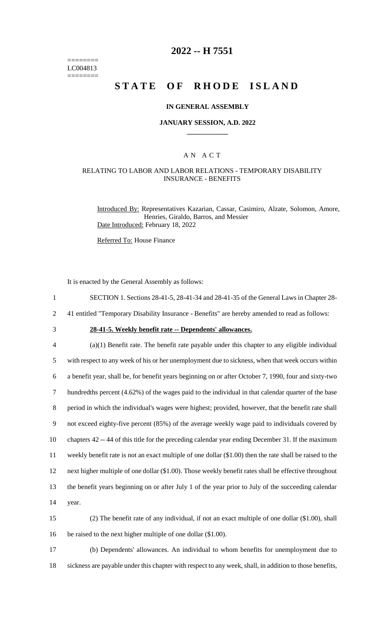======== LC004813 ========

# **2022 -- H 7551**

# **STATE OF RHODE ISLAND**

#### **IN GENERAL ASSEMBLY**

#### **JANUARY SESSION, A.D. 2022 \_\_\_\_\_\_\_\_\_\_\_\_**

## A N A C T

## RELATING TO LABOR AND LABOR RELATIONS - TEMPORARY DISABILITY INSURANCE - BENEFITS

Introduced By: Representatives Kazarian, Cassar, Casimiro, Alzate, Solomon, Amore, Henries, Giraldo, Barros, and Messier Date Introduced: February 18, 2022

Referred To: House Finance

It is enacted by the General Assembly as follows:

1 SECTION 1. Sections 28-41-5, 28-41-34 and 28-41-35 of the General Laws in Chapter 28-

2 41 entitled "Temporary Disability Insurance - Benefits" are hereby amended to read as follows:

3 **28-41-5. Weekly benefit rate -- Dependents' allowances.**

 (a)(1) Benefit rate. The benefit rate payable under this chapter to any eligible individual with respect to any week of his or her unemployment due to sickness, when that week occurs within a benefit year, shall be, for benefit years beginning on or after October 7, 1990, four and sixty-two hundredths percent (4.62%) of the wages paid to the individual in that calendar quarter of the base period in which the individual's wages were highest; provided, however, that the benefit rate shall not exceed eighty-five percent (85%) of the average weekly wage paid to individuals covered by chapters 42 -- 44 of this title for the preceding calendar year ending December 31. If the maximum weekly benefit rate is not an exact multiple of one dollar (\$1.00) then the rate shall be raised to the next higher multiple of one dollar (\$1.00). Those weekly benefit rates shall be effective throughout the benefit years beginning on or after July 1 of the year prior to July of the succeeding calendar 14 year.

15 (2) The benefit rate of any individual, if not an exact multiple of one dollar (\$1.00), shall 16 be raised to the next higher multiple of one dollar (\$1.00).

17 (b) Dependents' allowances. An individual to whom benefits for unemployment due to 18 sickness are payable under this chapter with respect to any week, shall, in addition to those benefits,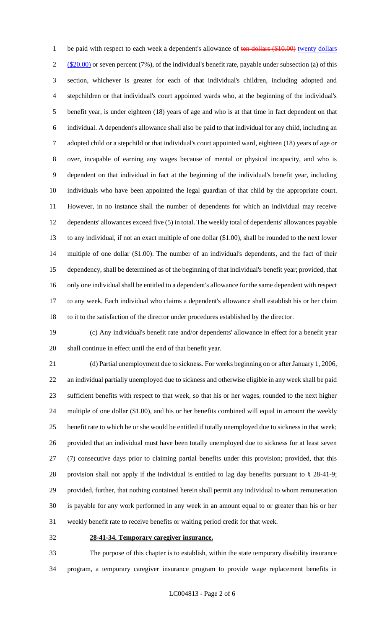1 be paid with respect to each week a dependent's allowance of ten dollars (\$10.00) twenty dollars  $2 \frac{\text{($20.00)}}{\text{or}}$  or seven percent (7%), of the individual's benefit rate, payable under subsection (a) of this section, whichever is greater for each of that individual's children, including adopted and stepchildren or that individual's court appointed wards who, at the beginning of the individual's benefit year, is under eighteen (18) years of age and who is at that time in fact dependent on that individual. A dependent's allowance shall also be paid to that individual for any child, including an adopted child or a stepchild or that individual's court appointed ward, eighteen (18) years of age or over, incapable of earning any wages because of mental or physical incapacity, and who is dependent on that individual in fact at the beginning of the individual's benefit year, including individuals who have been appointed the legal guardian of that child by the appropriate court. However, in no instance shall the number of dependents for which an individual may receive dependents' allowances exceed five (5) in total. The weekly total of dependents' allowances payable to any individual, if not an exact multiple of one dollar (\$1.00), shall be rounded to the next lower multiple of one dollar (\$1.00). The number of an individual's dependents, and the fact of their dependency, shall be determined as of the beginning of that individual's benefit year; provided, that only one individual shall be entitled to a dependent's allowance for the same dependent with respect to any week. Each individual who claims a dependent's allowance shall establish his or her claim to it to the satisfaction of the director under procedures established by the director.

 (c) Any individual's benefit rate and/or dependents' allowance in effect for a benefit year shall continue in effect until the end of that benefit year.

 (d) Partial unemployment due to sickness. For weeks beginning on or after January 1, 2006, an individual partially unemployed due to sickness and otherwise eligible in any week shall be paid sufficient benefits with respect to that week, so that his or her wages, rounded to the next higher multiple of one dollar (\$1.00), and his or her benefits combined will equal in amount the weekly benefit rate to which he or she would be entitled if totally unemployed due to sickness in that week; provided that an individual must have been totally unemployed due to sickness for at least seven (7) consecutive days prior to claiming partial benefits under this provision; provided, that this provision shall not apply if the individual is entitled to lag day benefits pursuant to § 28-41-9; provided, further, that nothing contained herein shall permit any individual to whom remuneration is payable for any work performed in any week in an amount equal to or greater than his or her weekly benefit rate to receive benefits or waiting period credit for that week.

### **28-41-34. Temporary caregiver insurance.**

 The purpose of this chapter is to establish, within the state temporary disability insurance program, a temporary caregiver insurance program to provide wage replacement benefits in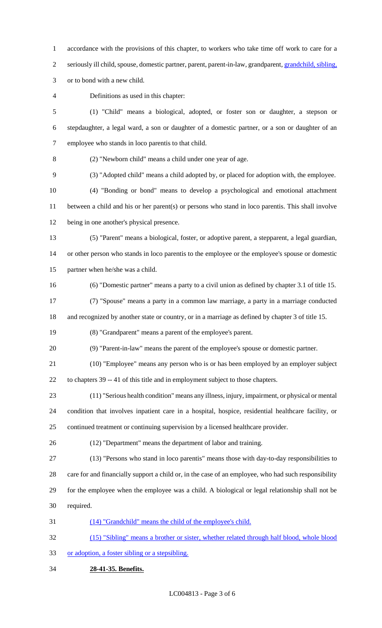accordance with the provisions of this chapter, to workers who take time off work to care for a 2 seriously ill child, spouse, domestic partner, parent, parent-in-law, grandparent, grandchild, sibling,

or to bond with a new child.

Definitions as used in this chapter:

 (1) "Child" means a biological, adopted, or foster son or daughter, a stepson or stepdaughter, a legal ward, a son or daughter of a domestic partner, or a son or daughter of an employee who stands in loco parentis to that child.

(2) "Newborn child" means a child under one year of age.

(3) "Adopted child" means a child adopted by, or placed for adoption with, the employee.

 (4) "Bonding or bond" means to develop a psychological and emotional attachment between a child and his or her parent(s) or persons who stand in loco parentis. This shall involve being in one another's physical presence.

- (5) "Parent" means a biological, foster, or adoptive parent, a stepparent, a legal guardian, or other person who stands in loco parentis to the employee or the employee's spouse or domestic
- partner when he/she was a child.
- (6) "Domestic partner" means a party to a civil union as defined by chapter 3.1 of title 15.

 (7) "Spouse" means a party in a common law marriage, a party in a marriage conducted and recognized by another state or country, or in a marriage as defined by chapter 3 of title 15.

(8) "Grandparent" means a parent of the employee's parent.

(9) "Parent-in-law" means the parent of the employee's spouse or domestic partner.

(10) "Employee" means any person who is or has been employed by an employer subject

to chapters 39 -- 41 of this title and in employment subject to those chapters.

 (11) "Serious health condition" means any illness, injury, impairment, or physical or mental condition that involves inpatient care in a hospital, hospice, residential healthcare facility, or continued treatment or continuing supervision by a licensed healthcare provider.

(12) "Department" means the department of labor and training.

(13) "Persons who stand in loco parentis" means those with day-to-day responsibilities to

care for and financially support a child or, in the case of an employee, who had such responsibility

 for the employee when the employee was a child. A biological or legal relationship shall not be required.

(14) "Grandchild" means the child of the employee's child.

 (15) "Sibling" means a brother or sister, whether related through half blood, whole blood or adoption, a foster sibling or a stepsibling.

**28-41-35. Benefits.**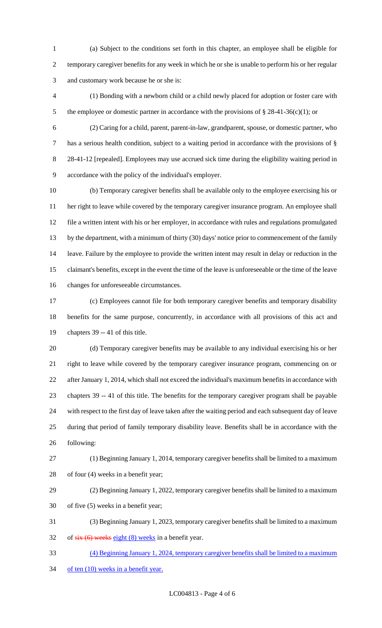(a) Subject to the conditions set forth in this chapter, an employee shall be eligible for temporary caregiver benefits for any week in which he or she is unable to perform his or her regular and customary work because he or she is:

 (1) Bonding with a newborn child or a child newly placed for adoption or foster care with 5 the employee or domestic partner in accordance with the provisions of § 28-41-36(c)(1); or

 (2) Caring for a child, parent, parent-in-law, grandparent, spouse, or domestic partner, who has a serious health condition, subject to a waiting period in accordance with the provisions of § 8 28-41-12 [repealed]. Employees may use accrued sick time during the eligibility waiting period in accordance with the policy of the individual's employer.

 (b) Temporary caregiver benefits shall be available only to the employee exercising his or her right to leave while covered by the temporary caregiver insurance program. An employee shall file a written intent with his or her employer, in accordance with rules and regulations promulgated by the department, with a minimum of thirty (30) days' notice prior to commencement of the family leave. Failure by the employee to provide the written intent may result in delay or reduction in the claimant's benefits, except in the event the time of the leave is unforeseeable or the time of the leave changes for unforeseeable circumstances.

 (c) Employees cannot file for both temporary caregiver benefits and temporary disability benefits for the same purpose, concurrently, in accordance with all provisions of this act and chapters 39 -- 41 of this title.

 (d) Temporary caregiver benefits may be available to any individual exercising his or her right to leave while covered by the temporary caregiver insurance program, commencing on or after January 1, 2014, which shall not exceed the individual's maximum benefits in accordance with chapters 39 -- 41 of this title. The benefits for the temporary caregiver program shall be payable with respect to the first day of leave taken after the waiting period and each subsequent day of leave during that period of family temporary disability leave. Benefits shall be in accordance with the following:

 (1) Beginning January 1, 2014, temporary caregiver benefits shall be limited to a maximum of four (4) weeks in a benefit year;

 (2) Beginning January 1, 2022, temporary caregiver benefits shall be limited to a maximum of five (5) weeks in a benefit year;

 (3) Beginning January 1, 2023, temporary caregiver benefits shall be limited to a maximum 32 of  $s$ ix (6) weeks eight (8) weeks in a benefit year.

 (4) Beginning January 1, 2024, temporary caregiver benefits shall be limited to a maximum 34 of ten (10) weeks in a benefit year.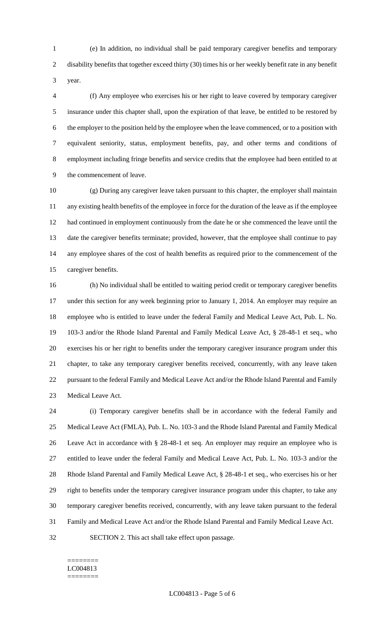(e) In addition, no individual shall be paid temporary caregiver benefits and temporary disability benefits that together exceed thirty (30) times his or her weekly benefit rate in any benefit year.

 (f) Any employee who exercises his or her right to leave covered by temporary caregiver insurance under this chapter shall, upon the expiration of that leave, be entitled to be restored by the employer to the position held by the employee when the leave commenced, or to a position with equivalent seniority, status, employment benefits, pay, and other terms and conditions of employment including fringe benefits and service credits that the employee had been entitled to at the commencement of leave.

 (g) During any caregiver leave taken pursuant to this chapter, the employer shall maintain any existing health benefits of the employee in force for the duration of the leave as if the employee had continued in employment continuously from the date he or she commenced the leave until the date the caregiver benefits terminate; provided, however, that the employee shall continue to pay any employee shares of the cost of health benefits as required prior to the commencement of the caregiver benefits.

 (h) No individual shall be entitled to waiting period credit or temporary caregiver benefits under this section for any week beginning prior to January 1, 2014. An employer may require an employee who is entitled to leave under the federal Family and Medical Leave Act, Pub. L. No. 103-3 and/or the Rhode Island Parental and Family Medical Leave Act, § 28-48-1 et seq., who exercises his or her right to benefits under the temporary caregiver insurance program under this chapter, to take any temporary caregiver benefits received, concurrently, with any leave taken pursuant to the federal Family and Medical Leave Act and/or the Rhode Island Parental and Family Medical Leave Act.

 (i) Temporary caregiver benefits shall be in accordance with the federal Family and Medical Leave Act (FMLA), Pub. L. No. 103-3 and the Rhode Island Parental and Family Medical Leave Act in accordance with § 28-48-1 et seq. An employer may require an employee who is entitled to leave under the federal Family and Medical Leave Act, Pub. L. No. 103-3 and/or the Rhode Island Parental and Family Medical Leave Act, § 28-48-1 et seq., who exercises his or her right to benefits under the temporary caregiver insurance program under this chapter, to take any temporary caregiver benefits received, concurrently, with any leave taken pursuant to the federal Family and Medical Leave Act and/or the Rhode Island Parental and Family Medical Leave Act. SECTION 2. This act shall take effect upon passage.

#### ======== LC004813 ========